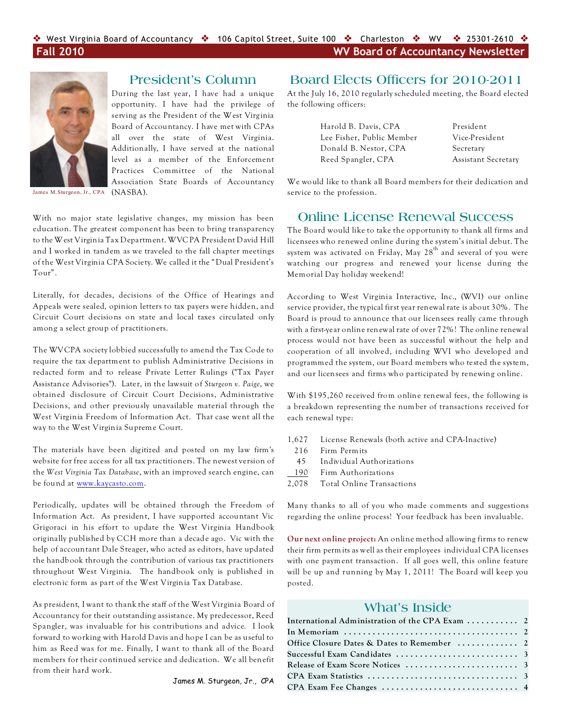

### **President's Column**

During the last year, I have had a unique opportunity. I have had the privilege of serving as the President of the West Virginia Board of Accountancy. I have met with CPAs all over the state of West Virginia. Additionally, I have served at the national level as a member of the Enforcement Practices Committee of the National Association State Boards of Accountancy

James M.Sturgeon, Jr., CPA (NASBA).

With no major state legislative changes, my mission has been education. The greatest component has been to bring transparency to the West Virginia Tax Department. WVCPA President David Hill and I worked in tandem as we traveled to the fall chapter meetings of the West Virginia CPA Society. We called it the "Dual President's Tour".

Literally, for decades, decisions of the Office of Hearings and Appeals were sealed, opinion letters to tax payers were hidden, and Circuit Court decisions on state and local taxes circulated only among a select group of practitioners.

The WVCPA society lobbied successfully to amend the Tax Code to require the tax department to publish Administrative Decisions in redacted form and to release Private Letter Rulings ("Tax Payer Assistance Advisories"). Later, in the lawsuit of *Sturgeon v. Paige*, we obtained disclosure of Circuit Court Decisions, Administrative Decisions, and other previously unavailable material through the West Virginia Freedom of Information Act. That case went all the way to the West Virginia Supreme Court.

The materials have been digitized and posted on my law firm's website for free access for all tax practitioners. The newest version of the *West Virginia Tax Database*, with an improved search engine, can be found at [www.kaycasto.com](http://www.kaycasto.com).

Periodically, updates will be obtained through the Freedom of Information Act. As president, I have supported accountant Vic Grigoraci in his effort to update the West Virginia Handbook originally published by CCH more than a decade ago. Vic with the help of accountant Dale Steager, who acted as editors, have updated the handbook through the contribution of various tax practitioners throughout West Virginia. The handbook only is published in electronic form as part of the West Virginia Tax Database.

As president, I want to thank the staff of the West Virginia Board of Accountancy for their outstanding assistance. My predecessor, Reed Spangler, was invaluable for his contributions and advice. I look forward to working with Harold Davis and hope I can be as useful to him as Reed was for me. Finally, I want to thank all of the Board members for their continued service and dedication. We all benefit from their hard work.

James M. Sturgeon, Jr., CPA

# **Board Elects Officers for 2010-2011**

At the July 16, 2010 regularly scheduled meeting, the Board elected the following officers:

> Harold B. Davis, CPA President Lee Fisher, Public Member Vice-President Donald B. Nestor, CPA Secretary Reed Spangler, CPA Assistant Secretary

We would like to thank all Board members for their dedication and service to the profession.

## **Online License Renewal Success**

The Board would like to take the opportunity to thank all firms and licensees who renewed online during the system's initial debut. The system was activated on Friday, May  $28<sup>th</sup>$  and several of you were watching our progress and renewed your license during the Memorial Day holiday weekend!

According to West Virginia Interactive, Inc., (WVI) our online service provider, the typical first year renewal rate is about 30%. The Board is proud to announce that our licensees really came through with a first-year online renewal rate of over 72%! The online renewal process would not have been as successful without the help and cooperation of all involved, including WVI who developed and programmed the system, our Board members who tested the system, and our licensees and firms who participated by renewing online.

With \$195,260 received from online renewal fees, the following is a breakdown representing the number of transactions received for each renewal type:

- 1,627 License Renewals (both active and CPA-Inactive)
- 216 Firm Permits
- 45 Individual Authorizations
- 190 Firm Authorizations
- 2,078 Total Online Transactions

Many thanks to all of you who made comments and suggestions regarding the online process! Your feedback has been invaluable.

**Our next online project:** An online method allowing firms to renew their firm permits as well as their employees individual CPA licenses with one payment transaction. If all goes well, this online feature will be up and running by May 1, 2011! The Board will keep you posted.

# **What's Inside**

| International Administration of the CPA Exam  2 |  |
|-------------------------------------------------|--|
|                                                 |  |
|                                                 |  |
|                                                 |  |
|                                                 |  |
|                                                 |  |
|                                                 |  |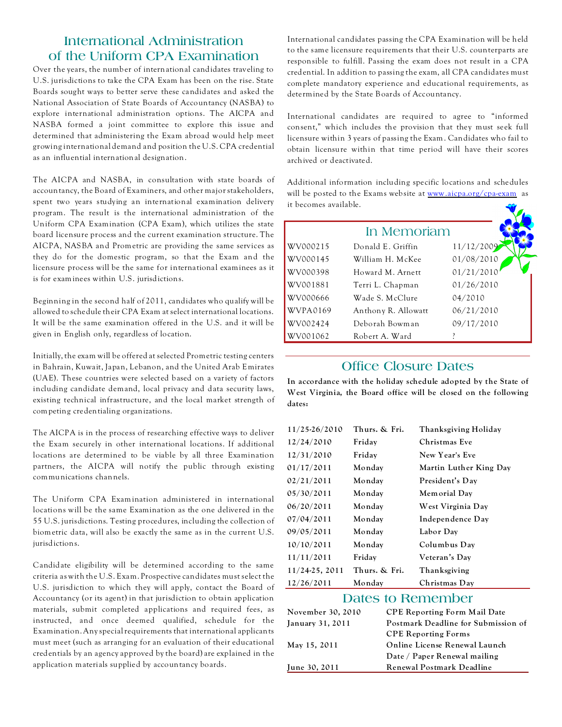# **International Administration of the Uniform CPA Examination**

Over the years, the number of international candidates traveling to U.S. jurisdictions to take the CPA Exam has been on the rise. State Boards sought ways to better serve these candidates and asked the National Association of State Boards of Accountancy (NASBA) to explore international administration options. The AICPA and NASBA formed a joint committee to explore this issue and determined that administering the Exam abroad would help meet growing international demand and position the U.S. CPA credential as an influential international designation.

The AICPA and NASBA, in consultation with state boards of accountancy, the Board of Examiners, and other major stakeholders, spent two years studying an international examination delivery program. The result is the international administration of the Uniform CPA Examination (CPA Exam), which utilizes the state board licensure process and the current examination structure. The AICPA, NASBA and Prometric are providing the same services as they do for the domestic program, so that the Exam and the licensure process will be the same for international examinees as it is for examinees within U.S. jurisdictions.

Beginning in the second half of 2011, candidates who qualify will be allowed to schedule their CPA Exam at select international locations. It will be the same examination offered in the U.S. and it will be given in English only, regardless of location.

Initially, the exam will be offered at selected Prometric testing centers in Bahrain, Kuwait, Japan, Lebanon, and the United Arab Emirates (UAE). These countries were selected based on a variety of factors including candidate demand, local privacy and data security laws, existing technical infrastructure, and the local market strength of competing credentialing organizations.

The AICPA is in the process of researching effective ways to deliver the Exam securely in other international locations. If additional locations are determined to be viable by all three Examination partners, the AICPA will notify the public through existing communications channels.

The Uniform CPA Examination administered in international locations will be the same Examination as the one delivered in the 55 U.S. jurisdictions. Testing procedures, including the collection of biometric data, will also be exactly the same as in the current U.S. jurisdictions.

Candidate eligibility will be determined according to the same criteria as with the U.S. Exam. Prospective candidates must select the U.S. jurisdiction to which they will apply, contact the Board of Accountancy (or its agent) in that jurisdiction to obtain application materials, submit completed applications and required fees, as instructed, and once deemed qualified, schedule for the Examination. Any special requirements that international applicants must meet (such as arranging for an evaluation of their educational credentials by an agency approved by the board) are explained in the application materials supplied by accountancy boards.

International candidates passing the CPA Examination will be held to the same licensure requirements that their U.S. counterparts are responsible to fulfill. Passing the exam does not result in a CPA credential. In addition to passing the exam, all CPA candidates must complete mandatory experience and educational requirements, as determined by the State Boards of Accountancy.

International candidates are required to agree to "informed consent," which includes the provision that they must seek full licensure within 3 years of passing the Exam. Candidates who fail to obtain licensure within that time period will have their scores archived or deactivated.

Additional information including specific locations and schedules will be posted to the Exams website at [www.aicpa.org/cpa-exam](http://www.aicpa.org/cpa-exam) as it becomes available.

|          | In Memoriam         |            |
|----------|---------------------|------------|
| WV000215 | Donald E. Griffin   | 11/12/2009 |
| WV000145 | William H. McKee    | 01/08/2010 |
| WV000398 | Howard M. Arnett    | 01/21/2010 |
| WV001881 | Terri L. Chapman    | 01/26/2010 |
| WV000666 | Wade S. McClure     | 04/2010    |
| WVPA0169 | Anthony R. Allowatt | 06/21/2010 |
| WV002424 | Deborah Bowman      | 09/17/2010 |
| WV001062 | Robert A. Ward      |            |

## **Office Closure Dates**

**In accordance with the holiday schedule adopted by the State of West Virginia, the Board office will be closed on the following dates:**

| 11/25-26/2010  | Thurs. & Fri. | Thanksgiving Holiday   |
|----------------|---------------|------------------------|
| 12/24/2010     | Friday        | Christmas Eve          |
| 12/31/2010     | Friday        | New Year's Eve         |
| 01/17/2011     | Monday        | Martin Luther King Day |
| 02/21/2011     | Monday        | President's Day        |
| 05/30/2011     | Monday        | Memorial Day           |
| 06/20/2011     | Monday        | West Virginia Day      |
| 07/04/2011     | Monday        | Independence Day       |
| 09/05/2011     | Monday        | Labor Day              |
| 10/10/2011     | Monday        | Columbus Day           |
| 11/11/2011     | Friday        | Veteran's Day          |
| 11/24-25, 2011 | Thurs. & Fri. | Thanksgiving           |
| 12/26/2011     | Monday        | Christmas Day          |

## **Dates to Remember**

| November 30, 2010 | <b>CPE Reporting Form Mail Date</b> |
|-------------------|-------------------------------------|
| January 31, 2011  | Postmark Deadline for Submission of |
|                   | <b>CPE Reporting Forms</b>          |
| May 15, 2011      | Online License Renewal Launch       |
|                   | Date / Paper Renewal mailing        |
| June 30, 2011     | <b>Renewal Postmark Deadline</b>    |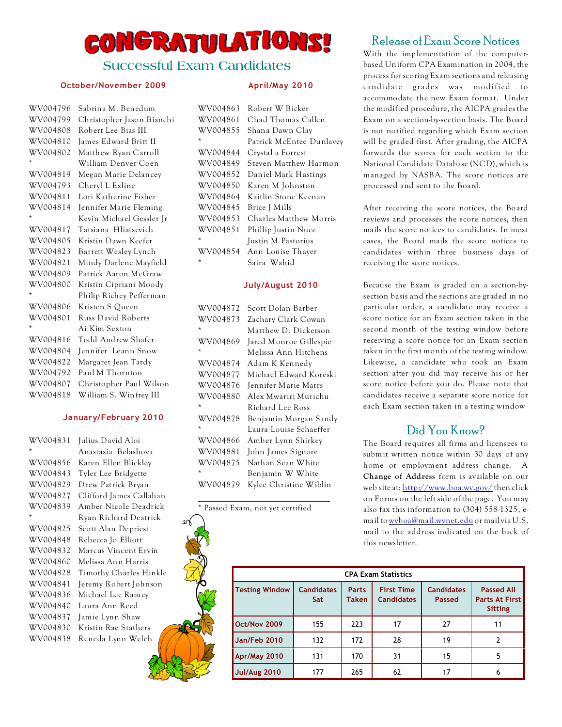# CONGRATULATIONS!

## **Successful Exam Candidates**

#### **October/November 2009**

| WV004796 | Sabrina M. Benedum        |
|----------|---------------------------|
| WV004799 | Christopher Jason Bianchi |
| WV004808 | Robert Lee Bias III       |
| WV004810 | James Edward Britt II     |
| WV004802 | Matthew Ryan Carroll      |
| *        | William Denver Coen       |
| WV004819 | Megan Marie Delancey      |
| WV004793 | Cheryl L Exline           |
| WV004811 | Lori Katherine Fisher     |
| WV004814 | Jennifer Marie Fleming    |
| $\star$  | Kevin Michael Gessler Jr  |
| WV004817 | Tatsiana Hliatsevich      |
| WV004805 | Kristin Dawn Keefer       |
| WV004823 | Barrett Wesley Lynch      |
| WV004821 | Mindy Darlene Mayfield    |
| WV004809 | Patrick Aaron McGraw      |
| WV004800 | Kristin Cipriani Moody    |
| $\star$  | Philip Richey Pefferman   |
| WV004806 | Kristen S Queen           |
| WV004801 | Russ David Roberts        |
| $\star$  | Ai Kim Sexton             |
| WV004816 | Todd Andrew Shafer        |
| WV004804 | Jennifer Leann Snow       |
| WV004822 | Margaret Jean Tardy       |
| WV004792 | Paul M Thornton           |
| WV004807 | Christopher Paul Wilson   |
| WV004818 | William S. Winfrey III    |

#### **January/February 2010**

| WV004831 | Julius David Aloi       |
|----------|-------------------------|
| $\star$  | Anastasia Belashova     |
| WV004856 | Karen Ellen Blickley    |
| WV004843 | Tyler Lee Bridgette     |
| WV004829 | Drew Patrick Bryan      |
| WV004827 | Clifford James Callahan |
| WV004839 | Amber Nicole Deadrick   |
| ÷        | Ryan Richard Deatrick   |
| WV004825 | Scott Alan Depriest     |
| WV004848 | Rebecca Jo Elliott      |
| WV004832 | Marcus Vincent Ervin    |
| WV004860 | Melissa Ann Harris      |
| WV004828 | Timothy Charles Hinkle  |
| WV004841 | Jeremy Robert Johnson   |
| WV004836 | Michael Lee Ramey       |
| WV004840 | Laura Ann Reed          |
| WV004837 | Jamie Lynn Shaw         |
| WV004830 | Kristin Rae Stathers    |
| WV004838 | Reneda Lynn Welch       |
|          |                         |

#### **April/May 2010**

| WV004863 | Robert W Bicker          |
|----------|--------------------------|
| WV004861 | Chad Thomas Callen       |
| WV004855 | Shana Dawn Clay          |
| ÷        | Patrick McEntee Dunlavey |
| WV004844 | Crystal a Forrest        |
| WV004849 | Steven Matthew Harmon    |
| WV004852 | Daniel Mark Hastings     |
| WV004850 | Karen M Johnston         |
| WV004864 | Kaitlin Stone Keenan     |
| WV004845 | Brice J Mills            |
| WV004853 | Charles Matthew Morris   |
| WV004851 | Phillip Justin Nuce      |
| $\star$  | Justin M Pastorius       |
| WV004854 | Ann Louise Thayer        |
| ÷        | Saira Wahid              |

#### **July/August 2010**

| WV004872 | Scott Dolan Barber     |
|----------|------------------------|
| WV004873 | Zachary Clark Cowan    |
| ÷        | Matthew D. Dickerson   |
| WV004869 | Jared Monroe Gillespie |
| $\star$  | Melissa Ann Hitchens   |
| WV004874 | Adam K Kennedy         |
| WV004877 | Michael Edward Koreski |
| WV004876 | Jennifer Marie Marrs   |
| WV004880 | Alex Mwariri Murichu   |
| $\star$  | Richard Lee Ross       |
| WV004878 | Benjamin Morgan Sandy  |
| $\star$  | Laura Louise Schaeffer |
| WV004866 | Amber Lynn Shirkey     |
| WV004881 | John James Signore     |
| WV004875 | Nathan Sean White      |
| $\star$  | Benjamin W White       |
| WV004879 | Kylee Christine Wiblin |

\* Passed Exam, not yet certified

# Release of Exam Score Notices

With the implementation of the computerbased Uniform CPA Examination in 2004, the process for scoring Exam sections and releasing cand idate grades was modified to accommodate the new Exam format. Under the modified procedure, the AICPA grades the Exam on a section-by-section basis. The Board is not notified regarding which Exam section will be graded first. After grading, the AICPA forwards the scores for each section to the National Candidate Database (NCD), which is managed by NASBA. The score notices are processed and sent to the Board.

After receiving the score notices, the Board reviews and processes the score notices, then mails the score notices to candidates. In most cases, the Board mails the score notices to candidates within three business days of receiving the score notices.

Because the Exam is graded on a section-bysection basis and the sections are graded in no particular order, a candidate may receive a score notice for an Exam section taken in the second month of the testing window before receiving a score notice for an Exam section taken in the first month of the testing window. Likewise, a candidate who took an Exam section after you did may receive his or her score notice before you do. Please note that candidates receive a separate score notice for each Exam section taken in a testing window

# Did You Know?

The Board requires all firms and licensees to submit written notice within 30 days of any home or employment address change. A **Change of Address** form is available on our web site at: [http://www.boa.wv.gov/](http://www.boa.wv.gov/forms/Pages/default.aspx.) then click on Forms on the left side of the page. You may also fax this information to (304) 558-1325, email to wyboa@mail.wynet.edu or mail via U.S. mail to the address indicated on the back of this newsletter.

| <b>CPA Exam Statistics</b> |                                 |                              |                                        |                             |                                                              |
|----------------------------|---------------------------------|------------------------------|----------------------------------------|-----------------------------|--------------------------------------------------------------|
| <b>Testing Window</b>      | <b>Candidates</b><br><b>Sat</b> | <b>Parts</b><br><b>Taken</b> | <b>First Time</b><br><b>Candidates</b> | <b>Candidates</b><br>Passed | <b>Passed All</b><br><b>Parts At First</b><br><b>Sitting</b> |
| Oct/Nov 2009               | 155                             | 223                          | 17                                     | 27                          | 11                                                           |
| Jan/Feb 2010               | 132                             | 172                          | 28                                     | 19                          | $\overline{2}$                                               |
| <b>Apr/May 2010</b>        | 131                             | 170                          | 31                                     | 15                          | 5                                                            |
| <b>Jul/Aug 2010</b>        | 177                             | 265                          | 62                                     | 17                          | 6                                                            |